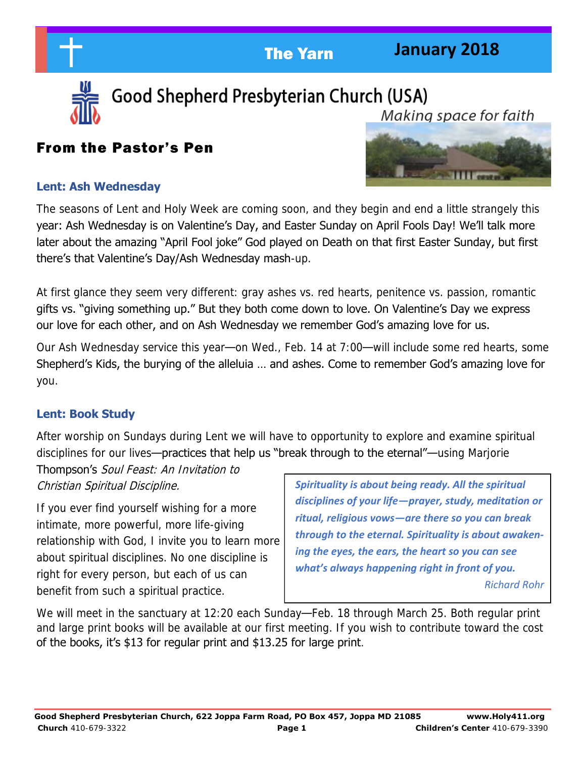**January 2018** 



Good Shepherd Presbyterian Church (USA) Makina space for faith

## From the Pastor's Pen



#### **Lent: Ash Wednesday**

The seasons of Lent and Holy Week are coming soon, and they begin and end a little strangely this year: Ash Wednesday is on Valentine's Day, and Easter Sunday on April Fools Day! We'll talk more later about the amazing "April Fool joke" God played on Death on that first Easter Sunday, but first there's that Valentine's Day/Ash Wednesday mash-up.

At first glance they seem very different: gray ashes vs. red hearts, penitence vs. passion, romantic gifts vs. "giving something up." But they both come down to love. On Valentine's Day we express our love for each other, and on Ash Wednesday we remember God's amazing love for us.

Our Ash Wednesday service this year—on Wed., Feb. 14 at 7:00—will include some red hearts, some Shepherd's Kids, the burying of the alleluia … and ashes. Come to remember God's amazing love for you.

#### **Lent: Book Study**

After worship on Sundays during Lent we will have to opportunity to explore and examine spiritual disciplines for our lives—practices that help us "break through to the eternal"—using Marjorie

Thompson's Soul Feast: An Invitation to Christian Spiritual Discipline.

If you ever find yourself wishing for a more intimate, more powerful, more life-giving relationship with God, I invite you to learn more about spiritual disciplines. No one discipline is right for every person, but each of us can benefit from such a spiritual practice.

*Spirituality is about being ready. All the spiritual disciplines of your life—prayer, study, meditation or ritual, religious vows—are there so you can break through to the eternal. Spirituality is about awakening the eyes, the ears, the heart so you can see what's always happening right in front of you.*

*Richard Rohr* 

We will meet in the sanctuary at 12:20 each Sunday—Feb. 18 through March 25. Both regular print and large print books will be available at our first meeting. If you wish to contribute toward the cost of the books, it's \$13 for regular print and \$13.25 for large print.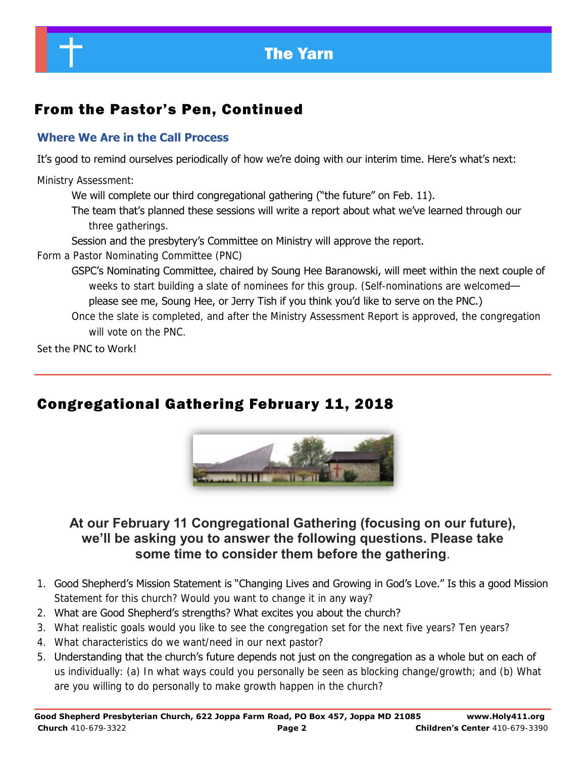

# From the Pastor's Pen, Continued

#### **Where We Are in the Call Process**

It's good to remind ourselves periodically of how we're doing with our interim time. Here's what's next:

Ministry Assessment:

We will complete our third congregational gathering ("the future" on Feb. 11).

The team that's planned these sessions will write a report about what we've learned through our three gatherings.

Session and the presbytery's Committee on Ministry will approve the report.

Form a Pastor Nominating Committee (PNC)

GSPC's Nominating Committee, chaired by Soung Hee Baranowski, will meet within the next couple of weeks to start building a slate of nominees for this group. (Self-nominations are welcomed please see me, Soung Hee, or Jerry Tish if you think you'd like to serve on the PNC.)

Once the slate is completed, and after the Ministry Assessment Report is approved, the congregation will vote on the PNC.

Set the PNC to Work!

# Congregational Gathering February 11, 2018



### **At our February 11 Congregational Gathering (focusing on our future), we'll be asking you to answer the following questions. Please take some time to consider them before the gathering**.

- 1. Good Shepherd's Mission Statement is "Changing Lives and Growing in God's Love." Is this a good Mission Statement for this church? Would you want to change it in any way?
- 2. What are Good Shepherd's strengths? What excites you about the church?
- 3. What realistic goals would you like to see the congregation set for the next five years? Ten years?
- 4. What characteristics do we want/need in our next pastor?
- 5. Understanding that the church's future depends not just on the congregation as a whole but on each of us individually: (a) In what ways could you personally be seen as blocking change/growth; and (b) What are you willing to do personally to make growth happen in the church?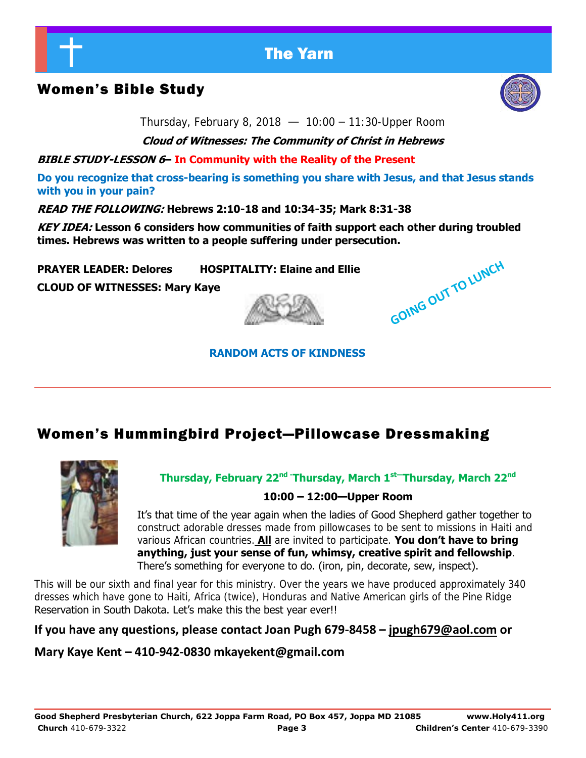

## Women's Bible Study



**GOING OUT TO LUNCH** 

Thursday, February 8, 2018  $-$  10:00 - 11:30-Upper Room

**Cloud of Witnesses: The Community of Christ in Hebrews** 

**BIBLE STUDY-LESSON 6– In Community with the Reality of the Present** 

**Do you recognize that cross-bearing is something you share with Jesus, and that Jesus stands with you in your pain?** 

**READ THE FOLLOWING: Hebrews 2:10-18 and 10:34-35; Mark 8:31-38** 

**KEY IDEA: Lesson 6 considers how communities of faith support each other during troubled times. Hebrews was written to a people suffering under persecution.** 

**PRAYER LEADER: Delores HOSPITALITY: Elaine and Ellie** 

**CLOUD OF WITNESSES: Mary Kaye** 

## **RANDOM ACTS OF KINDNESS**

## Women's Hummingbird Project—Pillowcase Dressmaking



**Thursday, February 22nd -Thursday, March 1st—Thursday, March 22nd**

#### **10:00 – 12:00—Upper Room**

It's that time of the year again when the ladies of Good Shepherd gather together to construct adorable dresses made from pillowcases to be sent to missions in Haiti and various African countries. **All** are invited to participate. **You don't have to bring anything, just your sense of fun, whimsy, creative spirit and fellowship**. There's something for everyone to do. (iron, pin, decorate, sew, inspect).

This will be our sixth and final year for this ministry. Over the years we have produced approximately 340 dresses which have gone to Haiti, Africa (twice), Honduras and Native American girls of the Pine Ridge Reservation in South Dakota. Let's make this the best year ever!!

#### **If you have any questions, please contact Joan Pugh 679-8458 – [jpugh679@aol.com](mailto:jpugh679@aol.com) or**

**Mary Kaye Kent – 410-942-0830 mkayekent@gmail.co[m](mailto:mkayekent@gmail.com)**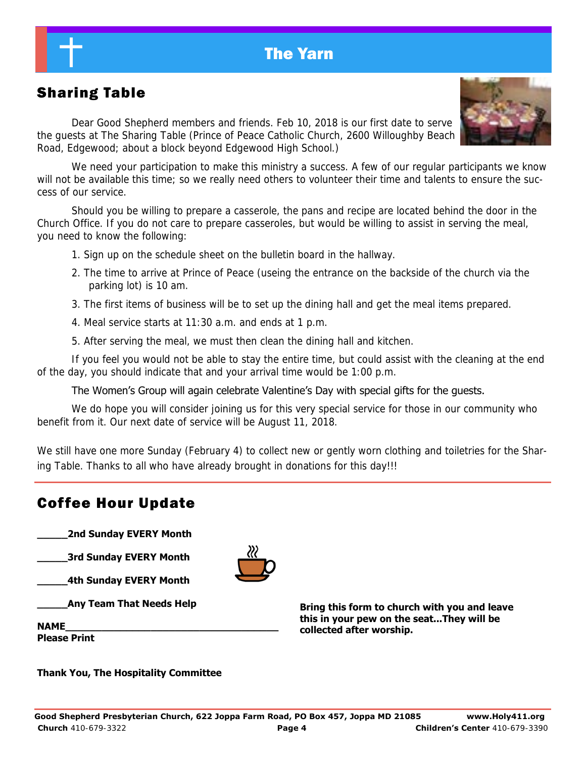

# Sharing Table

 Dear Good Shepherd members and friends. Feb 10, 2018 is our first date to serve the guests at The Sharing Table (Prince of Peace Catholic Church, 2600 Willoughby Beach Road, Edgewood; about a block beyond Edgewood High School.)



We need your participation to make this ministry a success. A few of our regular participants we know will not be available this time; so we really need others to volunteer their time and talents to ensure the success of our service.

Should you be willing to prepare a casserole, the pans and recipe are located behind the door in the Church Office. If you do not care to prepare casseroles, but would be willing to assist in serving the meal, you need to know the following:

- 1. Sign up on the schedule sheet on the bulletin board in the hallway.
- 2. The time to arrive at Prince of Peace (useing the entrance on the backside of the church via the parking lot) is 10 am.
- 3. The first items of business will be to set up the dining hall and get the meal items prepared.
- 4. Meal service starts at 11:30 a.m. and ends at 1 p.m.
- 5. After serving the meal, we must then clean the dining hall and kitchen.

If you feel you would not be able to stay the entire time, but could assist with the cleaning at the end of the day, you should indicate that and your arrival time would be 1:00 p.m.

#### The Women's Group will again celebrate Valentine's Day with special gifts for the guests.

We do hope you will consider joining us for this very special service for those in our community who benefit from it. Our next date of service will be August 11, 2018.

We still have one more Sunday (February 4) to collect new or gently worn clothing and toiletries for the Sharing Table. Thanks to all who have already brought in donations for this day!!!

### Coffee Hour Update

**\_\_\_\_\_2nd Sunday EVERY Month** 

**\_\_\_\_\_3rd Sunday EVERY Month** 

**\_\_\_\_\_4th Sunday EVERY Month** 

**\_\_\_\_\_Any Team That Needs Help** 

**NAME\_\_\_\_\_\_\_\_\_\_\_\_\_\_\_\_\_\_\_\_\_\_\_\_\_\_\_\_\_\_\_\_\_\_\_** 

**Please Print** 

**Bring this form to church with you and leave this in your pew on the seat...They will be collected after worship.** 

**Thank You, The Hospitality Committee**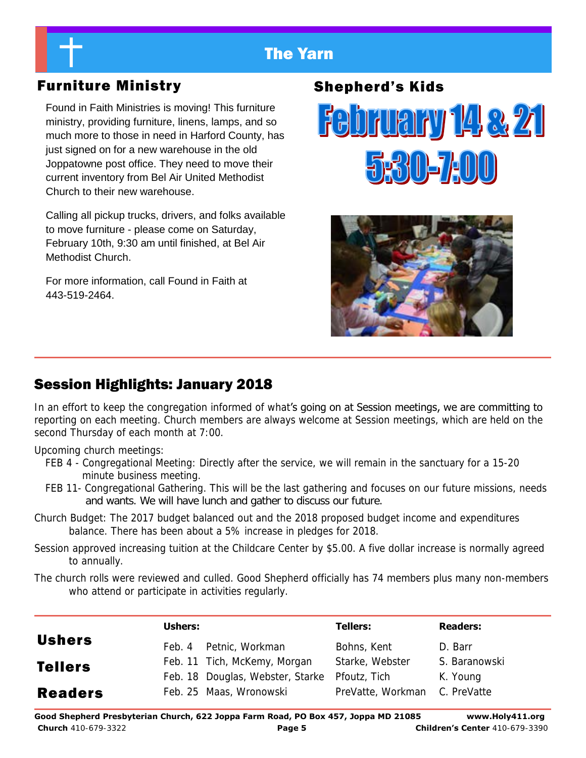## Furniture Ministry

Found in Faith Ministries is moving! This furniture ministry, providing furniture, linens, lamps, and so much more to those in need in Harford County, has just signed on for a new warehouse in the old Joppatowne post office. They need to move their current inventory from Bel Air United Methodist Church to their new warehouse.

Calling all pickup trucks, drivers, and folks available to move furniture - please come on Saturday, February 10th, 9:30 am until finished, at Bel Air Methodist Church.

For more information, call Found in Faith at 443-519-2464.

# Shepherd's Kids





# Session Highlights: January 2018

In an effort to keep the congregation informed of what's going on at Session meetings, we are committing to reporting on each meeting. Church members are always welcome at Session meetings, which are held on the second Thursday of each month at 7:00.

Upcoming church meetings:

- FEB 4 Congregational Meeting: Directly after the service, we will remain in the sanctuary for a 15-20 minute business meeting.
- FEB 11- Congregational Gathering. This will be the last gathering and focuses on our future missions, needs and wants. We will have lunch and gather to discuss our future.
- Church Budget: The 2017 budget balanced out and the 2018 proposed budget income and expenditures balance. There has been about a 5% increase in pledges for 2018.
- Session approved increasing tuition at the Childcare Center by \$5.00. A five dollar increase is normally agreed to annually.

The church rolls were reviewed and culled. Good Shepherd officially has 74 members plus many non-members who attend or participate in activities regularly.

|                | Ushers: |                                               | <b>Tellers:</b>               | <b>Readers:</b> |
|----------------|---------|-----------------------------------------------|-------------------------------|-----------------|
| <b>Ushers</b>  | Feb. 4  | Petnic, Workman                               | Bohns, Kent                   | D. Barr         |
| <b>Tellers</b> |         | Feb. 11 Tich, McKemy, Morgan                  | Starke, Webster               | S. Baranowski   |
|                |         | Feb. 18 Douglas, Webster, Starke Pfoutz, Tich |                               | K. Young        |
| <b>Readers</b> |         | Feb. 25 Maas, Wronowski                       | PreVatte, Workman C. PreVatte |                 |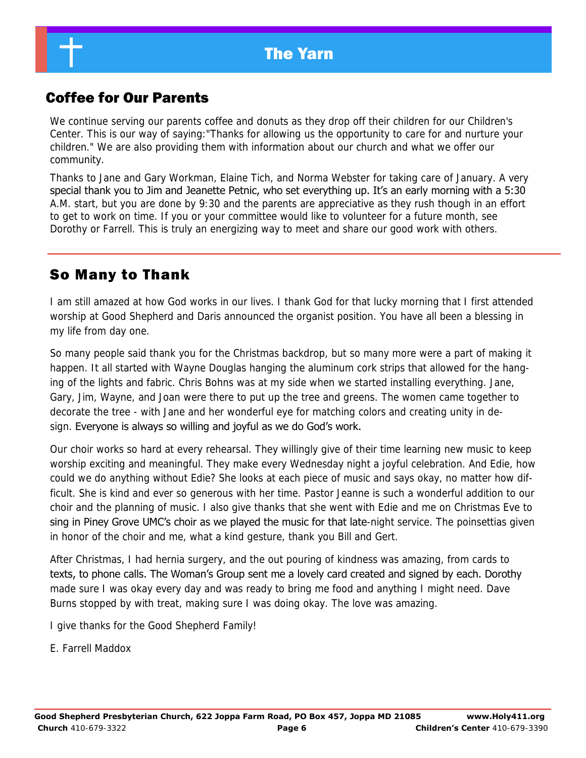## Coffee for Our Parents

We continue serving our parents coffee and donuts as they drop off their children for our Children's Center. This is our way of saying:"Thanks for allowing us the opportunity to care for and nurture your children." We are also providing them with information about our church and what we offer our community.

Thanks to Jane and Gary Workman, Elaine Tich, and Norma Webster for taking care of January. A very special thank you to Jim and Jeanette Petnic, who set everything up. It's an early morning with a 5:30 A.M. start, but you are done by 9:30 and the parents are appreciative as they rush though in an effort to get to work on time. If you or your committee would like to volunteer for a future month, see Dorothy or Farrell. This is truly an energizing way to meet and share our good work with others.

## So Many to Thank

I am still amazed at how God works in our lives. I thank God for that lucky morning that I first attended worship at Good Shepherd and Daris announced the organist position. You have all been a blessing in my life from day one.

So many people said thank you for the Christmas backdrop, but so many more were a part of making it happen. It all started with Wayne Douglas hanging the aluminum cork strips that allowed for the hanging of the lights and fabric. Chris Bohns was at my side when we started installing everything. Jane, Gary, Jim, Wayne, and Joan were there to put up the tree and greens. The women came together to decorate the tree - with Jane and her wonderful eye for matching colors and creating unity in design. Everyone is always so willing and joyful as we do God's work.

Our choir works so hard at every rehearsal. They willingly give of their time learning new music to keep worship exciting and meaningful. They make every Wednesday night a joyful celebration. And Edie, how could we do anything without Edie? She looks at each piece of music and says okay, no matter how difficult. She is kind and ever so generous with her time. Pastor Jeanne is such a wonderful addition to our choir and the planning of music. I also give thanks that she went with Edie and me on Christmas Eve to sing in Piney Grove UMC's choir as we played the music for that late-night service. The poinsettias given in honor of the choir and me, what a kind gesture, thank you Bill and Gert.

After Christmas, I had hernia surgery, and the out pouring of kindness was amazing, from cards to texts, to phone calls. The Woman's Group sent me a lovely card created and signed by each. Dorothy made sure I was okay every day and was ready to bring me food and anything I might need. Dave Burns stopped by with treat, making sure I was doing okay. The love was amazing.

I give thanks for the Good Shepherd Family!

E. Farrell Maddox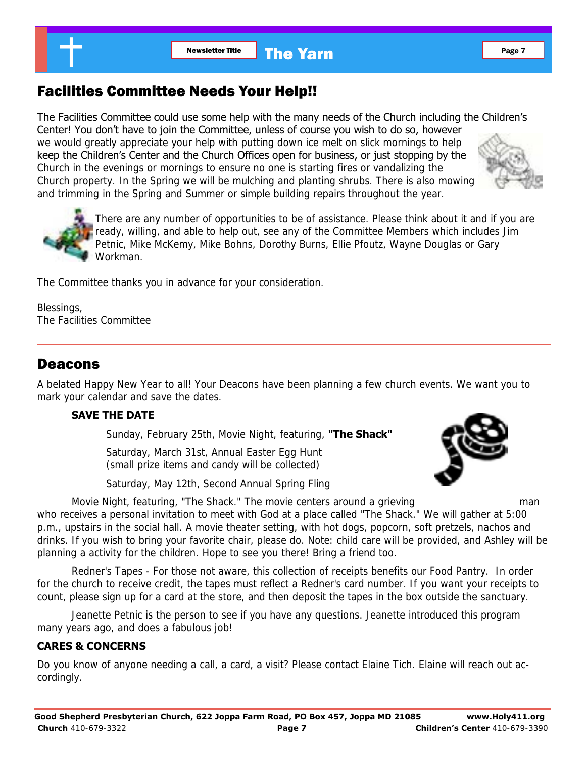## Facilities Committee Needs Your Help!!

The Facilities Committee could use some help with the many needs of the Church including the Children's Center! You don't have to join the Committee, unless of course you wish to do so, however we would greatly appreciate your help with putting down ice melt on slick mornings to help keep the Children's Center and the Church Offices open for business, or just stopping by the Church in the evenings or mornings to ensure no one is starting fires or vandalizing the Church property. In the Spring we will be mulching and planting shrubs. There is also mowing and trimming in the Spring and Summer or simple building repairs throughout the year.



There are any number of opportunities to be of assistance. Please think about it and if you are ready, willing, and able to help out, see any of the Committee Members which includes Jim Petnic, Mike McKemy, Mike Bohns, Dorothy Burns, Ellie Pfoutz, Wayne Douglas or Gary Workman.

The Committee thanks you in advance for your consideration.

Blessings, The Facilities Committee

#### Deacons

A belated Happy New Year to all! Your Deacons have been planning a few church events. We want you to mark your calendar and save the dates.

#### **SAVE THE DATE**

Sunday, February 25th, Movie Night, featuring, **"The Shack"** 

 Saturday, March 31st, Annual Easter Egg Hunt (small prize items and candy will be collected)

Saturday, May 12th, Second Annual Spring Fling



 Movie Night, featuring, "The Shack." The movie centers around a grieving man who receives a personal invitation to meet with God at a place called "The Shack." We will gather at 5:00 p.m., upstairs in the social hall. A movie theater setting, with hot dogs, popcorn, soft pretzels, nachos and drinks. If you wish to bring your favorite chair, please do. Note: child care will be provided, and Ashley will be planning a activity for the children. Hope to see you there! Bring a friend too.

 Redner's Tapes - For those not aware, this collection of receipts benefits our Food Pantry. In order for the church to receive credit, the tapes must reflect a Redner's card number. If you want your receipts to count, please sign up for a card at the store, and then deposit the tapes in the box outside the sanctuary.

 Jeanette Petnic is the person to see if you have any questions. Jeanette introduced this program many years ago, and does a fabulous job!

#### **CARES & CONCERNS**

Do you know of anyone needing a call, a card, a visit? Please contact Elaine Tich. Elaine will reach out accordingly.

**Good Shepherd Presbyterian Church, 622 Joppa Farm Road, PO Box 457, Joppa MD 21085 www.Holy411.org Church** 410-679-3322 **Page 7 Children's Center** 410-679-3390